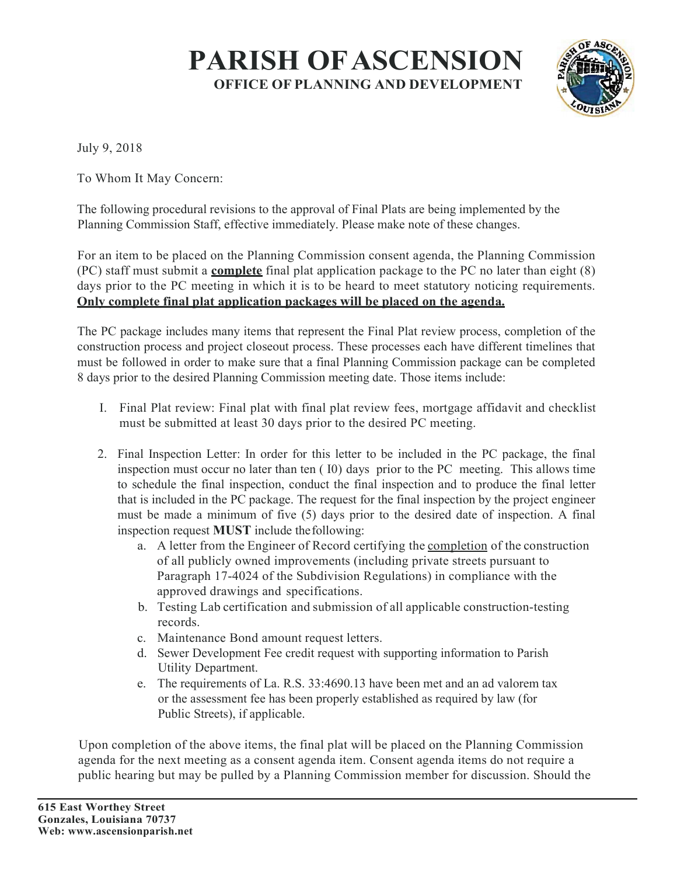## PARISH OFASCENSION OFFICE OF PLANNING AND DEVELOPMENT



July 9, 2018

To Whom It May Concern:

The following procedural revisions to the approval of Final Plats are being implemented by the Planning Commission Staff, effective immediately. Please make note of these changes.

For an item to be placed on the Planning Commission consent agenda, the Planning Commission  $(PC)$  staff must submit a **complete** final plat application package to the PC no later than eight  $(8)$ days prior to the PC meeting in which it is to be heard to meet statutory noticing requirements. Only complete final plat application packages will be placed on the agenda.

The PC package includes many items that represent the Final Plat review process, completion of the construction process and project closeout process. These processes each have different timelines that must be followed in order to make sure that a final Planning Commission package can be completed 8 days prior to the desired Planning Commission meeting date. Those items include:

- I. Final Plat review: Final plat with final plat review fees, mortgage affidavit and checklist must be submitted at least 30 days prior to the desired PC meeting.
- 2. Final Inspection Letter: In order for this letter to be included in the PC package, the final inspection must occur no later than ten ( I0) days prior to the PC meeting. This allows time to schedule the final inspection, conduct the final inspection and to produce the final letter that is included in the PC package. The request for the final inspection by the project engineer must be made a minimum of five (5) days prior to the desired date of inspection. A final inspection request MUST include the following:
	- a. A letter from the Engineer of Record certifying the completion of the construction of all publicly owned improvements (including private streets pursuant to Paragraph 17-4024 of the Subdivision Regulations) in compliance with the approved drawings and specifications.
	- b. Testing Lab certification and submission of all applicable construction-testing records.
	- c. Maintenance Bond amount request letters.
	- d. Sewer Development Fee credit request with supporting information to Parish Utility Department.
	- e. The requirements of La. R.S. 33:4690.13 have been met and an ad valorem tax or the assessment fee has been properly established as required by law (for Public Streets), if applicable.

Upon completion of the above items, the final plat will be placed on the Planning Commission agenda for the next meeting as a consent agenda item. Consent agenda items do not require a public hearing but may be pulled by a Planning Commission member for discussion. Should the